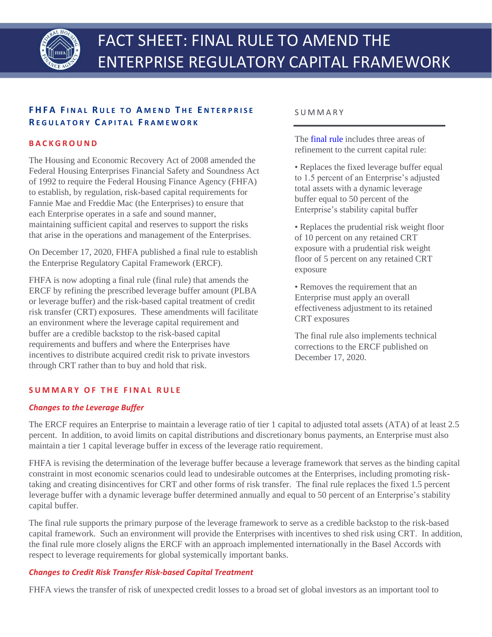

# **F H F A F I N A L R U L E T O A M E N D T H E E N T E R P R I S E R E G U L A T O R Y C A P I T A L F R A M E W O R K**

### **B A C K G R O U N D**

The Housing and Economic Recovery Act of 2008 amended the Federal Housing Enterprises Financial Safety and Soundness Act of 1992 to require the Federal Housing Finance Agency (FHFA) to establish, by regulation, risk-based capital requirements for Fannie Mae and Freddie Mac (the Enterprises) to ensure that each Enterprise operates in a safe and sound manner, maintaining sufficient capital and reserves to support the risks that arise in the operations and management of the Enterprises.

On December 17, 2020, FHFA published a final rule to establish the Enterprise Regulatory Capital Framework (ERCF).

FHFA is now adopting a final rule (final rule) that amends the ERCF by refining the prescribed leverage buffer amount (PLBA or leverage buffer) and the risk-based capital treatment of credit risk transfer (CRT) exposures. These amendments will facilitate an environment where the leverage capital requirement and buffer are a credible backstop to the risk-based capital requirements and buffers and where the Enterprises have incentives to distribute acquired credit risk to private investors through CRT rather than to buy and hold that risk.

### S U M M A R Y

The [final rule](http://www.fhfa.gov/SupervisionRegulation/Rules/Pages/Enterprise-Regulatory-Capital-Framework%E2%80%93-Prescribed-Leverage-Buffer-Amount-and-Credit-Risk-Transfer.aspx) includes three areas of refinement to the current capital rule:

- Replaces the fixed leverage buffer equal to 1.5 percent of an Enterprise's adjusted total assets with a dynamic leverage buffer equal to 50 percent of the Enterprise's stability capital buffer
- Replaces the prudential risk weight floor of 10 percent on any retained CRT exposure with a prudential risk weight floor of 5 percent on any retained CRT exposure
- Removes the requirement that an Enterprise must apply an overall effectiveness adjustment to its retained CRT exposures

The final rule also implements technical corrections to the ERCF published on December 17, 2020.

## **S U M M A R Y O F T H E F I N A L R U L E**

#### *Changes to the Leverage Buffer*

The ERCF requires an Enterprise to maintain a leverage ratio of tier 1 capital to adjusted total assets (ATA) of at least 2.5 percent. In addition, to avoid limits on capital distributions and discretionary bonus payments, an Enterprise must also maintain a tier 1 capital leverage buffer in excess of the leverage ratio requirement.

FHFA is revising the determination of the leverage buffer because a leverage framework that serves as the binding capital constraint in most economic scenarios could lead to undesirable outcomes at the Enterprises, including promoting risktaking and creating disincentives for CRT and other forms of risk transfer. The final rule replaces the fixed 1.5 percent leverage buffer with a dynamic leverage buffer determined annually and equal to 50 percent of an Enterprise's stability capital buffer.

The final rule supports the primary purpose of the leverage framework to serve as a credible backstop to the risk-based capital framework. Such an environment will provide the Enterprises with incentives to shed risk using CRT. In addition, the final rule more closely aligns the ERCF with an approach implemented internationally in the Basel Accords with respect to leverage requirements for global systemically important banks.

## *Changes to Credit Risk Transfer Risk-based Capital Treatment*

FHFA views the transfer of risk of unexpected credit losses to a broad set of global investors as an important tool to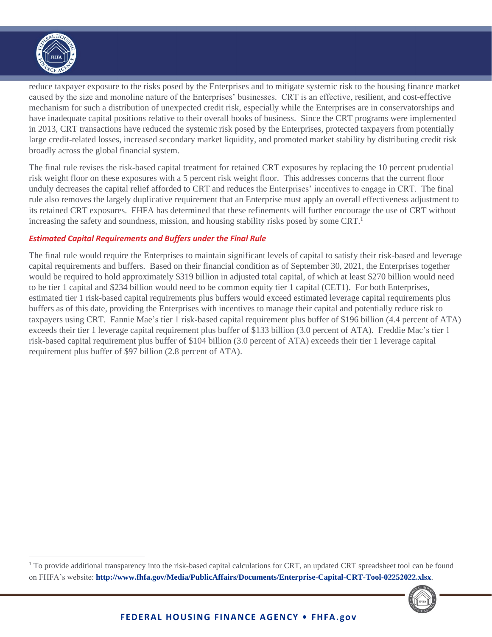

reduce taxpayer exposure to the risks posed by the Enterprises and to mitigate systemic risk to the housing finance market caused by the size and monoline nature of the Enterprises' businesses. CRT is an effective, resilient, and cost-effective mechanism for such a distribution of unexpected credit risk, especially while the Enterprises are in conservatorships and have inadequate capital positions relative to their overall books of business. Since the CRT programs were implemented in 2013, CRT transactions have reduced the systemic risk posed by the Enterprises, protected taxpayers from potentially large credit-related losses, increased secondary market liquidity, and promoted market stability by distributing credit risk broadly across the global financial system.

The final rule revises the risk-based capital treatment for retained CRT exposures by replacing the 10 percent prudential risk weight floor on these exposures with a 5 percent risk weight floor. This addresses concerns that the current floor unduly decreases the capital relief afforded to CRT and reduces the Enterprises' incentives to engage in CRT. The final rule also removes the largely duplicative requirement that an Enterprise must apply an overall effectiveness adjustment to its retained CRT exposures. FHFA has determined that these refinements will further encourage the use of CRT without increasing the safety and soundness, mission, and housing stability risks posed by some  $CRT<sup>1</sup>$ 

### *Estimated Capital Requirements and Buffers under the Final Rule*

The final rule would require the Enterprises to maintain significant levels of capital to satisfy their risk-based and leverage capital requirements and buffers. Based on their financial condition as of September 30, 2021, the Enterprises together would be required to hold approximately \$319 billion in adjusted total capital, of which at least \$270 billion would need to be tier 1 capital and \$234 billion would need to be common equity tier 1 capital (CET1). For both Enterprises, estimated tier 1 risk-based capital requirements plus buffers would exceed estimated leverage capital requirements plus buffers as of this date, providing the Enterprises with incentives to manage their capital and potentially reduce risk to taxpayers using CRT. Fannie Mae's tier 1 risk-based capital requirement plus buffer of \$196 billion (4.4 percent of ATA) exceeds their tier 1 leverage capital requirement plus buffer of \$133 billion (3.0 percent of ATA). Freddie Mac's tier 1 risk-based capital requirement plus buffer of \$104 billion (3.0 percent of ATA) exceeds their tier 1 leverage capital requirement plus buffer of \$97 billion (2.8 percent of ATA).

 $1$ <sup>T</sup> To provide additional transparency into the risk-based capital calculations for CRT, an updated CRT spreadsheet tool can be found on FHFA's website: **[http://www.fhfa.gov/Media/PublicAffairs/Documents/Enterprise-Capital-CRT-Tool-0225](http://www.fhfa.gov/Media/PublicAffairs/Documents/Enterprise-Capital-CRT-Tool-02252022.xlsx)2022.xlsx**.